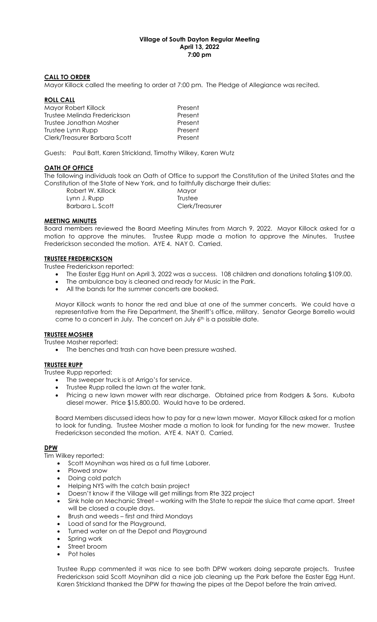## Village of South Dayton Regular Meeting April 13, 2022 7:00 pm

### CALL TO ORDER

Mayor Killock called the meeting to order at 7:00 pm. The Pledge of Allegiance was recited.

#### ROLL CALL

| Present |
|---------|
| Present |
| Present |
| Present |
| Present |
|         |

Guests: Paul Batt, Karen Strickland, Timothy Wilkey, Karen Wutz

### **OATH OF OFFICE**

The following individuals took an Oath of Office to support the Constitution of the United States and the Constitution of the State of New York, and to faithfully discharge their duties:

| Robert W. Killock | Mayor           |
|-------------------|-----------------|
| Lynn J. Rupp      | Trustee         |
| Barbara L. Scott  | Clerk/Treasurer |

#### MEETING MINUTES

Board members reviewed the Board Meeting Minutes from March 9, 2022. Mayor Killock asked for a motion to approve the minutes. Trustee Rupp made a motion to approve the Minutes. Trustee Frederickson seconded the motion. AYE 4. NAY 0. Carried.

#### TRUSTEE FREDERICKSON

Trustee Frederickson reported:

- The Easter Egg Hunt on April 3, 2022 was a success. 108 children and donations totaling \$109.00.
- The ambulance bay is cleaned and ready for Music in the Park.
- All the bands for the summer concerts are booked.

Mayor Killock wants to honor the red and blue at one of the summer concerts. We could have a representative from the Fire Department, the Sheriff's office, military. Senator George Borrello would come to a concert in July. The concert on July 6<sup>th</sup> is a possible date.

## TRUSTEE MOSHER

Trustee Mosher reported:

• The benches and trash can have been pressure washed.

## TRUSTEE RUPP

Trustee Rupp reported:

- The sweeper truck is at Arrigo's for service.
- Trustee Rupp rolled the lawn at the water tank.
- Pricing a new lawn mower with rear discharge. Obtained price from Rodgers & Sons. Kubota diesel mower. Price \$15,800.00. Would have to be ordered.

Board Members discussed ideas how to pay for a new lawn mower. Mayor Killock asked for a motion to look for funding. Trustee Mosher made a motion to look for funding for the new mower. Trustee Frederickson seconded the motion. AYE 4. NAY 0. Carried.

## DPW

Tim Wilkey reported:

- Scott Moynihan was hired as a full time Laborer.
- Plowed snow
- Doing cold patch
- Helping NYS with the catch basin project
- Doesn't know if the Village will get millings from Rte 322 project
- Sink hole on Mechanic Street working with the State to repair the sluice that came apart. Street will be closed a couple days.
- Brush and weeds first and third Mondays
- Load of sand for the Playground,
- Turned water on at the Depot and Playground
- Spring work
- Street broom
- Pot holes

Trustee Rupp commented it was nice to see both DPW workers doing separate projects. Trustee Frederickson said Scott Moynihan did a nice job cleaning up the Park before the Easter Egg Hunt. Karen Strickland thanked the DPW for thawing the pipes at the Depot before the train arrived.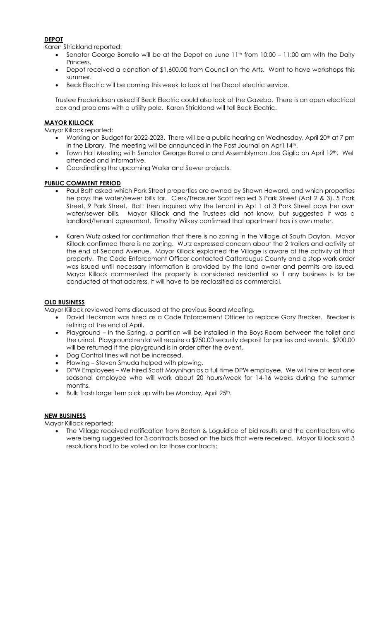# DEPOT

Karen Strickland reported:

- Senator George Borrello will be at the Depot on June  $11<sup>th</sup>$  from  $10:00 11:00$  am with the Dairy **Princess**
- Depot received a donation of \$1,600.00 from Council on the Arts. Want to have workshops this summer.
- Beck Electric will be coming this week to look at the Depot electric service.

Trustee Frederickson asked if Beck Electric could also look at the Gazebo. There is an open electrical box and problems with a utility pole. Karen Strickland will tell Beck Electric.

# **MAYOR KILLOCK**

Mayor Killock reported:

- Working on Budget for 2022-2023. There will be a public hearing on Wednesday, April 20<sup>th</sup> at 7 pm in the Library. The meeting will be announced in the Post Journal on April 14th.
- Town Hall Meeting with Senator George Borrello and Assemblyman Joe Giglio on April 12th. Well attended and informative.
- Coordinating the upcoming Water and Sewer projects.

## PUBLIC COMMENT PERIOD

- Paul Batt asked which Park Street properties are owned by Shawn Howard, and which properties he pays the water/sewer bills for. Clerk/Treasurer Scott replied 3 Park Street (Apt 2 & 3), 5 Park Street, 9 Park Street. Batt then inquired why the tenant in Apt 1 at 3 Park Street pays her own water/sewer bills. Mayor Killock and the Trustees did not know, but suggested it was a landlord/tenant agreement. Timothy Wilkey confirmed that apartment has its own meter.
- Karen Wutz asked for confirmation that there is no zoning in the Village of South Dayton. Mayor Killock confirmed there is no zoning. Wutz expressed concern about the 2 trailers and activity at the end of Second Avenue. Mayor Killock explained the Village is aware of the activity at that property. The Code Enforcement Officer contacted Cattaraugus County and a stop work order was issued until necessary information is provided by the land owner and permits are issued. Mayor Killock commented the property is considered residential so if any business is to be conducted at that address, it will have to be reclassified as commercial.

#### OLD BUSINESS

Mayor Killock reviewed items discussed at the previous Board Meeting.

- David Heckman was hired as a Code Enforcement Officer to replace Gary Brecker. Brecker is retiring at the end of April.
- Playground In the Spring, a partition will be installed in the Boys Room between the toilet and the urinal. Playground rental will require a \$250.00 security deposit for parties and events. \$200.00 will be returned if the playground is in order after the event.
- Dog Control fines will not be increased.
- Plowing Steven Smuda helped with plowing.
- DPW Employees We hired Scott Moynihan as a full time DPW employee. We will hire at least one seasonal employee who will work about 20 hours/week for 14-16 weeks during the summer months.
- Bulk Trash large item pick up with be Monday, April 25th.

## NEW BUSINESS

Mayor Killock reported:

 The Village received notification from Barton & Loguidice of bid results and the contractors who were being suggested for 3 contracts based on the bids that were received. Mayor Killock said 3 resolutions had to be voted on for those contracts: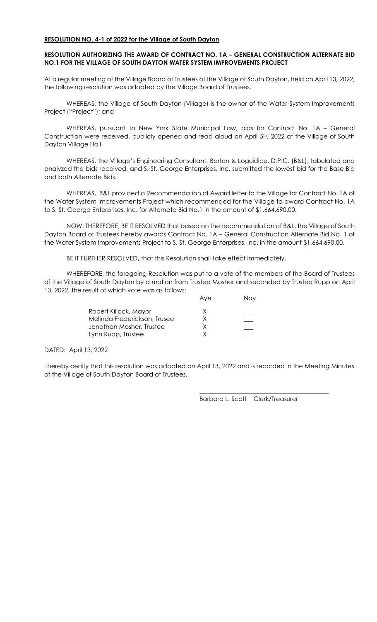### RESOLUTION NO. 4-1 of 2022 for the Village of South Dayton

# RESOLUTION AUTHORIZING THE AWARD OF CONTRACT NO. 1A – GENERAL CONSTRUCTION ALTERNATE BID NO.1 FOR THE VILLAGE OF SOUTH DAYTON WATER SYSTEM IMPROVEMENTS PROJECT

At a regular meeting of the Village Board of Trustees of the Village of South Dayton, held on April 13, 2022, the following resolution was adopted by the Village Board of Trustees.

 WHEREAS, the Village of South Dayton (Village) is the owner of the Water System Improvements Project ("Project"); and

 WHEREAS, pursuant to New York State Municipal Law, bids for Contract No. 1A – General Construction were received, publicly opened and read aloud on April 5<sup>th</sup>, 2022 at the Village of South Dayton Village Hall.

 WHEREAS, the Village's Engineering Consultant, Barton & Loguidice, D.P.C. (B&L), tabulated and analyzed the bids received, and S. St. George Enterprises, Inc. submitted the lowest bid for the Base Bid and both Alternate Bids.

 WHEREAS, B&L provided a Recommendation of Award letter to the Village for Contract No. 1A of the Water System Improvements Project which recommended for the Village to award Contract No. 1A to S. St. George Enterprises, Inc. for Alternate Bid No.1 in the amount of \$1,664,690.00.

 NOW, THEREFORE, BE IT RESOLVED that based on the recommendation of B&L, the Village of South Dayton Board of Trustees hereby awards Contract No. 1A – General Construction Alternate Bid No. 1 of the Water System Improvements Project to S. St. George Enterprises, Inc. in the amount \$1,664,690.00.

BE IT FURTHER RESOLVED, that this Resolution shall take effect immediately.

WHEREFORE, the foregoing Resolution was put to a vote of the members of the Board of Trustees of the Village of South Dayton by a motion from Trustee Mosher and seconded by Trustee Rupp on April 13, 2022, the result of which vote was as follows:

|                              | Ave | <b>Nav</b> |
|------------------------------|-----|------------|
| Robert Killock, Mayor        | x   |            |
| Melinda Frederickson, Trusee |     |            |
| Jonathan Mosher, Trustee     |     |            |
| Lynn Rupp, Trustee           |     |            |

DATED: April 13, 2022

I hereby certify that this resolution was adopted on April 13, 2022 and is recorded in the Meeting Minutes of the Village of South Dayton Board of Trustees.

 $\frac{1}{\sqrt{2}}$  ,  $\frac{1}{\sqrt{2}}$  ,  $\frac{1}{\sqrt{2}}$  ,  $\frac{1}{\sqrt{2}}$  ,  $\frac{1}{\sqrt{2}}$  ,  $\frac{1}{\sqrt{2}}$  ,  $\frac{1}{\sqrt{2}}$  ,  $\frac{1}{\sqrt{2}}$  ,  $\frac{1}{\sqrt{2}}$  ,  $\frac{1}{\sqrt{2}}$  ,  $\frac{1}{\sqrt{2}}$  ,  $\frac{1}{\sqrt{2}}$  ,  $\frac{1}{\sqrt{2}}$  ,  $\frac{1}{\sqrt{2}}$  ,  $\frac{1}{\sqrt{2}}$ 

Barbara L. Scott Clerk/Treasurer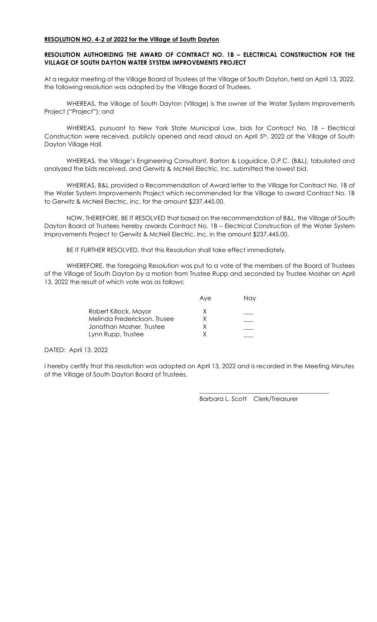### RESOLUTION NO. 4-2 of 2022 for the Village of South Dayton

# RESOLUTION AUTHORIZING THE AWARD OF CONTRACT NO. 1B – ELECTRICAL CONSTRUCTION FOR THE VILLAGE OF SOUTH DAYTON WATER SYSTEM IMPROVEMENTS PROJECT

At a regular meeting of the Village Board of Trustees of the Village of South Dayton, held on April 13, 2022, the following resolution was adopted by the Village Board of Trustees.

 WHEREAS, the Village of South Dayton (Village) is the owner of the Water System Improvements Project ("Project"); and

 WHEREAS, pursuant to New York State Municipal Law, bids for Contract No. 1B – Electrical Construction were received, publicly opened and read aloud on April 5<sup>th</sup>, 2022 at the Village of South Dayton Village Hall.

 WHEREAS, the Village's Engineering Consultant, Barton & Loguidice, D.P.C. (B&L), tabulated and analyzed the bids received, and Gerwitz & McNeil Electric, Inc. submitted the lowest bid.

 WHEREAS, B&L provided a Recommendation of Award letter to the Village for Contract No. 1B of the Water System Improvements Project which recommended for the Village to award Contract No. 1B to Gerwitz & McNeil Electric, Inc. for the amount \$237,445.00.

 NOW, THEREFORE, BE IT RESOLVED that based on the recommendation of B&L, the Village of South Dayton Board of Trustees hereby awards Contract No. 1B – Electrical Construction of the Water System Improvements Project to Gerwitz & McNeil Electric, Inc. in the amount \$237,445.00.

BE IT FURTHER RESOLVED, that this Resolution shall take effect immediately.

WHEREFORE, the foregoing Resolution was put to a vote of the members of the Board of Trustees of the Village of South Dayton by a motion from Trustee Rupp and seconded by Trustee Mosher on April 13, 2022 the result of which vote was as follows:

|                              | Ave | Nav |
|------------------------------|-----|-----|
| Robert Killock, Mayor        | x   |     |
| Melinda Frederickson, Trusee | x.  |     |
| Jonathan Mosher, Trustee     |     |     |
| Lynn Rupp, Trustee           |     |     |

DATED: April 13, 2022

I hereby certify that this resolution was adopted on April 13, 2022 and is recorded in the Meeting Minutes of the Village of South Dayton Board of Trustees.

 $\frac{1}{\sqrt{2}}$  ,  $\frac{1}{\sqrt{2}}$  ,  $\frac{1}{\sqrt{2}}$  ,  $\frac{1}{\sqrt{2}}$  ,  $\frac{1}{\sqrt{2}}$  ,  $\frac{1}{\sqrt{2}}$  ,  $\frac{1}{\sqrt{2}}$  ,  $\frac{1}{\sqrt{2}}$  ,  $\frac{1}{\sqrt{2}}$  ,  $\frac{1}{\sqrt{2}}$  ,  $\frac{1}{\sqrt{2}}$  ,  $\frac{1}{\sqrt{2}}$  ,  $\frac{1}{\sqrt{2}}$  ,  $\frac{1}{\sqrt{2}}$  ,  $\frac{1}{\sqrt{2}}$ 

Barbara L. Scott Clerk/Treasurer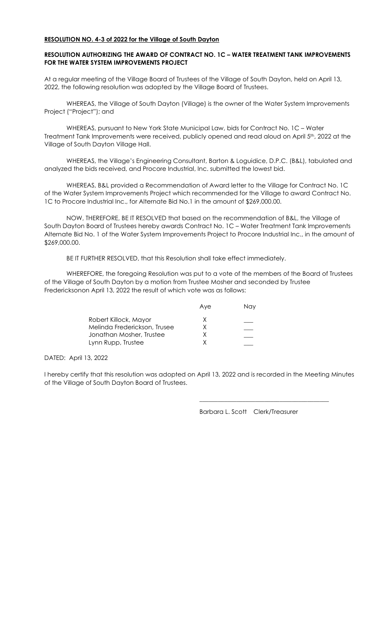### RESOLUTION NO. 4-3 of 2022 for the Village of South Dayton

# RESOLUTION AUTHORIZING THE AWARD OF CONTRACT NO. 1C – WATER TREATMENT TANK IMPROVEMENTS FOR THE WATER SYSTEM IMPROVEMENTS PROJECT

At a regular meeting of the Village Board of Trustees of the Village of South Dayton, held on April 13, 2022, the following resolution was adopted by the Village Board of Trustees.

 WHEREAS, the Village of South Dayton (Village) is the owner of the Water System Improvements Project ("Project"); and

 WHEREAS, pursuant to New York State Municipal Law, bids for Contract No. 1C – Water Treatment Tank Improvements were received, publicly opened and read aloud on April 5th, 2022 at the Village of South Dayton Village Hall.

 WHEREAS, the Village's Engineering Consultant, Barton & Loguidice, D.P.C. (B&L), tabulated and analyzed the bids received, and Procore Industrial, Inc. submitted the lowest bid.

 WHEREAS, B&L provided a Recommendation of Award letter to the Village for Contract No. 1C of the Water System Improvements Project which recommended for the Village to award Contract No. 1C to Procore Industrial Inc., for Alternate Bid No.1 in the amount of \$269,000.00.

 NOW, THEREFORE, BE IT RESOLVED that based on the recommendation of B&L, the Village of South Dayton Board of Trustees hereby awards Contract No. 1C – Water Treatment Tank Improvements Alternate Bid No. 1 of the Water System Improvements Project to Procore Industrial Inc., in the amount of \$269,000.00.

BE IT FURTHER RESOLVED, that this Resolution shall take effect immediately.

WHEREFORE, the foregoing Resolution was put to a vote of the members of the Board of Trustees of the Village of South Dayton by a motion from Trustee Mosher and seconded by Trustee Fredericksonon April 13, 2022 the result of which vote was as follows:

|                              | Ave | Nav |
|------------------------------|-----|-----|
| Robert Killock, Mayor        | X   |     |
| Melinda Frederickson, Trusee | X.  |     |
| Jonathan Mosher, Trustee     |     |     |
| Lynn Rupp, Trustee           |     |     |
|                              |     |     |

#### DATED: April 13, 2022

I hereby certify that this resolution was adopted on April 13, 2022 and is recorded in the Meeting Minutes of the Village of South Dayton Board of Trustees.

 $\frac{1}{\sqrt{2}}$  ,  $\frac{1}{\sqrt{2}}$  ,  $\frac{1}{\sqrt{2}}$  ,  $\frac{1}{\sqrt{2}}$  ,  $\frac{1}{\sqrt{2}}$  ,  $\frac{1}{\sqrt{2}}$  ,  $\frac{1}{\sqrt{2}}$  ,  $\frac{1}{\sqrt{2}}$  ,  $\frac{1}{\sqrt{2}}$  ,  $\frac{1}{\sqrt{2}}$  ,  $\frac{1}{\sqrt{2}}$  ,  $\frac{1}{\sqrt{2}}$  ,  $\frac{1}{\sqrt{2}}$  ,  $\frac{1}{\sqrt{2}}$  ,  $\frac{1}{\sqrt{2}}$ 

Barbara L. Scott Clerk/Treasurer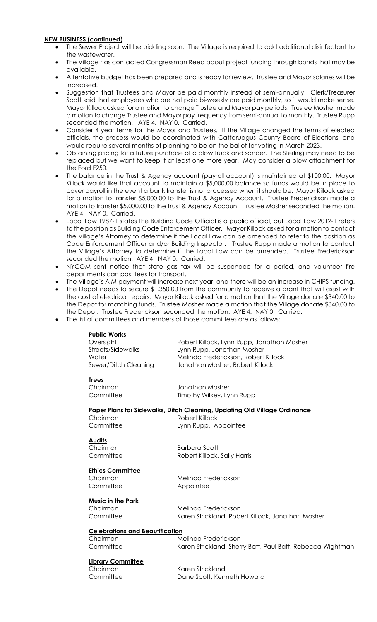## NEW BUSINESS (continued)

- The Sewer Project will be bidding soon. The Village is required to add additional disinfectant to the wastewater.
- The Village has contacted Congressman Reed about project funding through bonds that may be available.
- A tentative budget has been prepared and is ready for review. Trustee and Mayor salaries will be increased.
- Suggestion that Trustees and Mayor be paid monthly instead of semi-annually. Clerk/Treasurer Scott said that employees who are not paid bi-weekly are paid monthly, so it would make sense. Mayor Killock asked for a motion to change Trustee and Mayor pay periods. Trustee Mosher made a motion to change Trustee and Mayor pay frequency from semi-annual to monthly. Trustee Rupp seconded the motion. AYE 4. NAY 0. Carried.
- Consider 4 year terms for the Mayor and Trustees. If the Village changed the terms of elected officials, the process would be coordinated with Cattaruagus County Board of Elections, and would require several months of planning to be on the ballot for voting in March 2023.
- Obtaining pricing for a future purchase of a plow truck and sander. The Sterling may need to be replaced but we want to keep it at least one more year. May consider a plow attachment for the Ford F250.
- The balance in the Trust & Agency account (payroll account) is maintained at \$100.00. Mayor Killock would like that account to maintain a \$5,000.00 balance so funds would be in place to cover payroll in the event a bank transfer is not processed when it should be. Mayor Killock asked for a motion to transfer \$5,000.00 to the Trust & Agency Account. Trustee Frederickson made a motion to transfer \$5,000.00 to the Trust & Agency Account. Trustee Mosher seconded the motion. AYE 4. NAY 0. Carried.
- Local Law 1987-1 states the Building Code Official is a public official, but Local Law 2012-1 refers to the position as Building Code Enforcement Officer. Mayor Killock asked for a motion to contact the Village's Attorney to determine if the Local Law can be amended to refer to the position as Code Enforcement Officer and/or Building Inspector. Trustee Rupp made a motion to contact the Village's Attorney to determine if the Local Law can be amended. Trustee Frederickson seconded the motion. AYE 4. NAY 0. Carried.
- NYCOM sent notice that state gas tax will be suspended for a period, and volunteer fire departments can post fees for transport.
- The Village's AIM payment will increase next year, and there will be an increase in CHIPS funding.
- The Depot needs to secure \$1,350.00 from the community to receive a grant that will assist with the cost of electrical repairs. Mayor Killock asked for a motion that the Village donate \$340.00 to the Depot for matching funds. Trustee Mosher made a motion that the Village donate \$340.00 to the Depot. Trustee Frederickson seconded the motion. AYE 4. NAY 0. Carried.
- The list of committees and members of those committees are as follows:

| <b>Public Works</b>  |                                            |
|----------------------|--------------------------------------------|
| Oversight            | Robert Killock, Lynn Rupp, Jonathan Mosher |
| Streets/Sidewalks    | Lynn Rupp, Jonathan Mosher                 |
| Water                | Melinda Frederickson, Robert Killock       |
| Sewer/Ditch Cleaning | Jonathan Mosher, Robert Killock            |
|                      |                                            |
| Trees                |                                            |

Chairman Jonathan Mosher Committee Timothy Wilkey, Lynn Rupp

Paper Plans for Sidewalks, Ditch Cleaning, Updating Old Village Ordinance

Chairman Robert Killock

Committee Lynn Rupp, Appointee

**Audits** 

Chairman Barbara Scott

Committee Robert Killock, Sally Harris

Ethics Committee

Committee Appointee

Chairman Melinda Frederickson

Music in the Park

Chairman Melinda Frederickson Committee Karen Strickland, Robert Killock, Jonathan Mosher

# Celebrations and Beautification

Chairman Melinda Frederickson Committee Karen Strickland, Sherry Batt, Paul Batt, Rebecca Wightman

# Library Committee

Chairman Karen Strickland Committee Dane Scott, Kenneth Howard